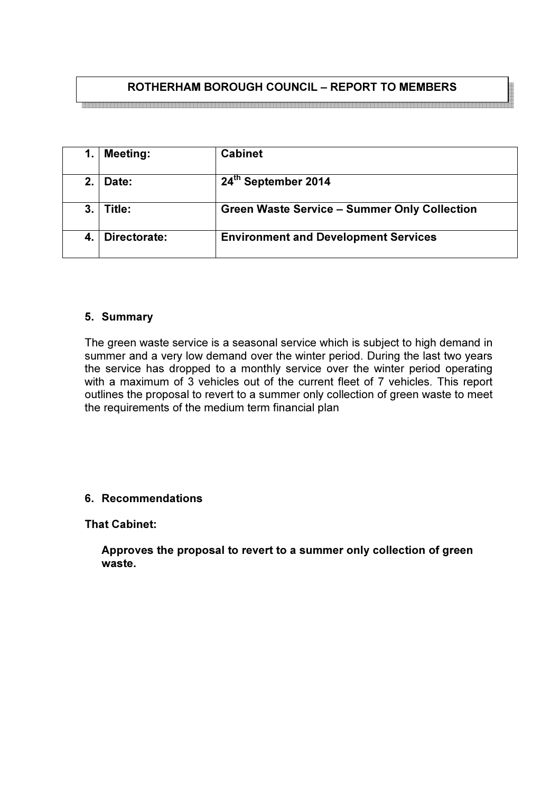# ROTHERHAM BOROUGH COUNCIL – REPORT TO MEMBERS

e de la concelhación de la concelhación de la concelhación de la concelhación de la concelhación de la concelh

|             | <b>Meeting:</b> | <b>Cabinet</b>                                      |
|-------------|-----------------|-----------------------------------------------------|
| $2_{\cdot}$ | Date:           | 24th September 2014                                 |
| 3.          | Title:          | <b>Green Waste Service - Summer Only Collection</b> |
|             | Directorate:    | <b>Environment and Development Services</b>         |

#### 5. Summary

The green waste service is a seasonal service which is subject to high demand in summer and a very low demand over the winter period. During the last two years the service has dropped to a monthly service over the winter period operating with a maximum of 3 vehicles out of the current fleet of 7 vehicles. This report outlines the proposal to revert to a summer only collection of green waste to meet the requirements of the medium term financial plan

### 6. Recommendations

That Cabinet:

Approves the proposal to revert to a summer only collection of green waste.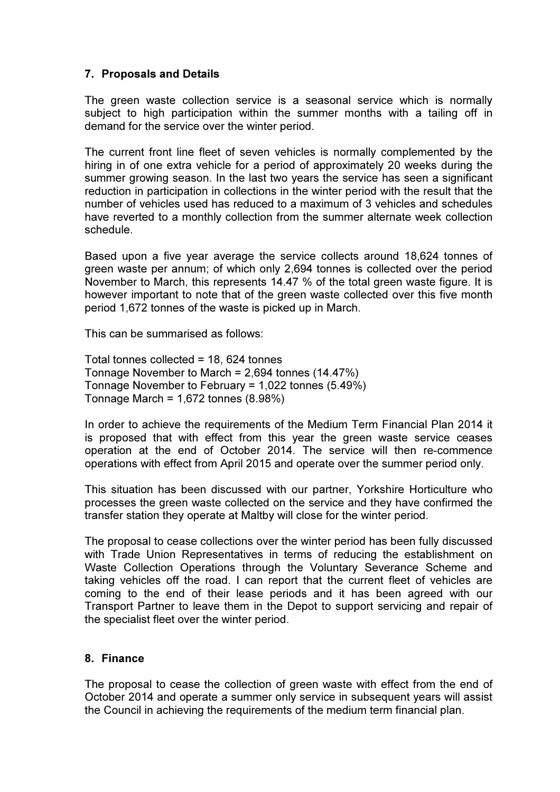# 7. Proposals and Details

The green waste collection service is a seasonal service which is normally subject to high participation within the summer months with a tailing off in demand for the service over the winter period.

The current front line fleet of seven vehicles is normally complemented by the hiring in of one extra vehicle for a period of approximately 20 weeks during the summer growing season. In the last two years the service has seen a significant reduction in participation in collections in the winter period with the result that the number of vehicles used has reduced to a maximum of 3 vehicles and schedules have reverted to a monthly collection from the summer alternate week collection schedule.

Based upon a five year average the service collects around 18,624 tonnes of green waste per annum; of which only 2,694 tonnes is collected over the period November to March, this represents 14.47 % of the total green waste figure. It is however important to note that of the green waste collected over this five month period 1,672 tonnes of the waste is picked up in March.

This can be summarised as follows:

Total tonnes collected = 18, 624 tonnes Tonnage November to March = 2,694 tonnes (14.47%) Tonnage November to February = 1,022 tonnes (5.49%) Tonnage March = 1,672 tonnes (8.98%)

In order to achieve the requirements of the Medium Term Financial Plan 2014 it is proposed that with effect from this year the green waste service ceases operation at the end of October 2014. The service will then re-commence operations with effect from April 2015 and operate over the summer period only.

This situation has been discussed with our partner, Yorkshire Horticulture who processes the green waste collected on the service and they have confirmed the transfer station they operate at Maltby will close for the winter period.

The proposal to cease collections over the winter period has been fully discussed with Trade Union Representatives in terms of reducing the establishment on Waste Collection Operations through the Voluntary Severance Scheme and taking vehicles off the road. I can report that the current fleet of vehicles are coming to the end of their lease periods and it has been agreed with our Transport Partner to leave them in the Depot to support servicing and repair of the specialist fleet over the winter period.

### 8. Finance

The proposal to cease the collection of green waste with effect from the end of October 2014 and operate a summer only service in subsequent years will assist the Council in achieving the requirements of the medium term financial plan.